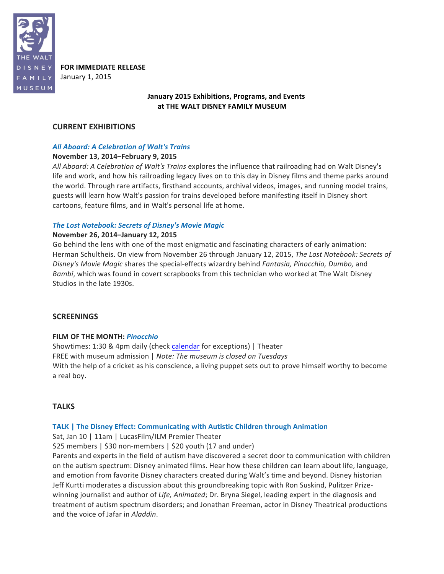

**FOR IMMEDIATE RELEASE** January 1, 2015

# **January 2015 Exhibitions, Programs, and Events** at THE WALT DISNEY FAMILY MUSEUM

# **CURRENT EXHIBITIONS**

# *All Aboard: A Celebration of Walt's Trains*

# **November 13, 2014–February 9, 2015**

*All Aboard:* A Celebration of Walt's Trains explores the influence that railroading had on Walt Disney's life and work, and how his railroading legacy lives on to this day in Disney films and theme parks around the world. Through rare artifacts, firsthand accounts, archival videos, images, and running model trains, guests will learn how Walt's passion for trains developed before manifesting itself in Disney short cartoons, feature films, and in Walt's personal life at home.

## **The Lost Notebook: Secrets of Disney's Movie Magic**

## **November 26, 2014–January 12, 2015**

Go behind the lens with one of the most enigmatic and fascinating characters of early animation: Herman Schultheis. On view from November 26 through January 12, 2015, *The Lost Notebook: Secrets of* Disney's Movie Magic shares the special-effects wizardry behind *Fantasia, Pinocchio, Dumbo,* and *Bambi*, which was found in covert scrapbooks from this technician who worked at The Walt Disney Studios in the late 1930s.

# **SCREENINGS**

#### **FILM OF THE MONTH:** *Pinocchio*

Showtimes: 1:30 & 4pm daily (check calendar for exceptions) | Theater FREE with museum admission | Note: The museum is closed on Tuesdays With the help of a cricket as his conscience, a living puppet sets out to prove himself worthy to become a real boy.

# **TALKS**

# **TALK** | The Disney Effect: Communicating with Autistic Children through Animation

Sat, Jan 10 | 11am | LucasFilm/ILM Premier Theater

\$25 members | \$30 non-members | \$20 youth (17 and under)

Parents and experts in the field of autism have discovered a secret door to communication with children on the autism spectrum: Disney animated films. Hear how these children can learn about life, language, and emotion from favorite Disney characters created during Walt's time and beyond. Disney historian Jeff Kurtti moderates a discussion about this groundbreaking topic with Ron Suskind, Pulitzer Prizewinning journalist and author of *Life, Animated*; Dr. Bryna Siegel, leading expert in the diagnosis and treatment of autism spectrum disorders; and Jonathan Freeman, actor in Disney Theatrical productions and the voice of Jafar in *Aladdin*.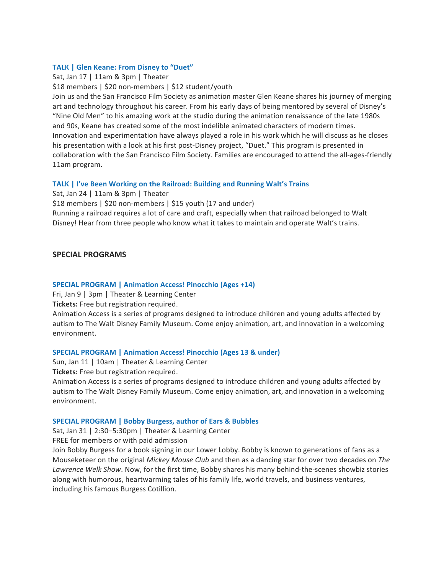## **TALK | Glen Keane: From Disney to "Duet"**

Sat, Jan 17 | 11am & 3pm | Theater

\$18 members | \$20 non-members | \$12 student/youth

Join us and the San Francisco Film Society as animation master Glen Keane shares his journey of merging art and technology throughout his career. From his early days of being mentored by several of Disney's "Nine Old Men" to his amazing work at the studio during the animation renaissance of the late 1980s and 90s, Keane has created some of the most indelible animated characters of modern times. Innovation and experimentation have always played a role in his work which he will discuss as he closes his presentation with a look at his first post-Disney project, "Duet." This program is presented in collaboration with the San Francisco Film Society. Families are encouraged to attend the all-ages-friendly 11am program.

## **TALK** | I've Been Working on the Railroad: Building and Running Walt's Trains

Sat, Jan 24  $\mid$  11am & 3pm  $\mid$  Theater

\$18 members | \$20 non-members | \$15 youth (17 and under)

Running a railroad requires a lot of care and craft, especially when that railroad belonged to Walt Disney! Hear from three people who know what it takes to maintain and operate Walt's trains.

## **SPECIAL PROGRAMS**

## **SPECIAL PROGRAM | Animation Access! Pinocchio (Ages +14)**

Fri, Jan 9 | 3pm | Theater & Learning Center

**Tickets:** Free but registration required.

Animation Access is a series of programs designed to introduce children and young adults affected by autism to The Walt Disney Family Museum. Come enjoy animation, art, and innovation in a welcoming environment.

#### **SPECIAL PROGRAM | Animation Access! Pinocchio (Ages 13 & under)**

Sun, Jan 11 | 10am | Theater & Learning Center

**Tickets:** Free but registration required.

Animation Access is a series of programs designed to introduce children and young adults affected by autism to The Walt Disney Family Museum. Come enjoy animation, art, and innovation in a welcoming environment.

#### **SPECIAL PROGRAM | Bobby Burgess, author of Ears & Bubbles**

Sat, Jan 31 | 2:30-5:30pm | Theater & Learning Center

FREE for members or with paid admission

Join Bobby Burgess for a book signing in our Lower Lobby. Bobby is known to generations of fans as a Mouseketeer on the original *Mickey Mouse Club* and then as a dancing star for over two decades on *The* Lawrence Welk Show. Now, for the first time, Bobby shares his many behind-the-scenes showbiz stories along with humorous, heartwarming tales of his family life, world travels, and business ventures, including his famous Burgess Cotillion.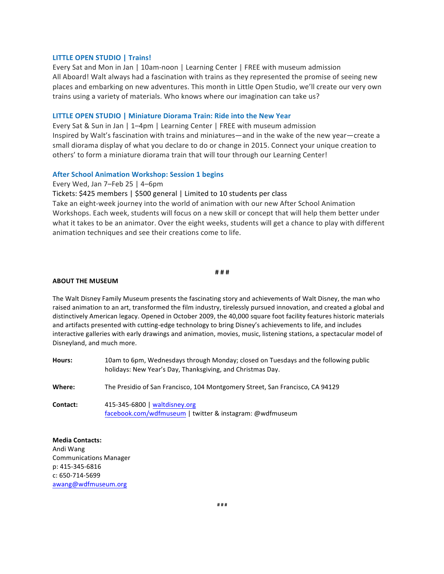#### **LITTLE OPEN STUDIO | Trains!**

Every Sat and Mon in Jan | 10am-noon | Learning Center | FREE with museum admission All Aboard! Walt always had a fascination with trains as they represented the promise of seeing new places and embarking on new adventures. This month in Little Open Studio, we'll create our very own trains using a variety of materials. Who knows where our imagination can take us?

#### **LITTLE OPEN STUDIO | Miniature Diorama Train: Ride into the New Year**

Every Sat & Sun in Jan  $\vert$  1–4pm  $\vert$  Learning Center  $\vert$  FREE with museum admission Inspired by Walt's fascination with trains and miniatures—and in the wake of the new year—create a small diorama display of what you declare to do or change in 2015. Connect your unique creation to others' to form a miniature diorama train that will tour through our Learning Center!

#### **After School Animation Workshop: Session 1 begins**

Every Wed, Jan 7–Feb 25 | 4–6pm

Tickets: \$425 members | \$500 general | Limited to 10 students per class

Take an eight-week journey into the world of animation with our new After School Animation Workshops. Each week, students will focus on a new skill or concept that will help them better under what it takes to be an animator. Over the eight weeks, students will get a chance to play with different animation techniques and see their creations come to life.

#### **# # #**

#### **ABOUT THE MUSEUM**

The Walt Disney Family Museum presents the fascinating story and achievements of Walt Disney, the man who raised animation to an art, transformed the film industry, tirelessly pursued innovation, and created a global and distinctively American legacy. Opened in October 2009, the 40,000 square foot facility features historic materials and artifacts presented with cutting-edge technology to bring Disney's achievements to life, and includes interactive galleries with early drawings and animation, movies, music, listening stations, a spectacular model of Disneyland, and much more.

Hours: 10am to 6pm, Wednesdays through Monday; closed on Tuesdays and the following public holidays: New Year's Day, Thanksgiving, and Christmas Day. **Where:** The Presidio of San Francisco, 104 Montgomery Street, San Francisco, CA 94129 **Contact:** 415-345-6800 | waltdisney.org

facebook.com/wdfmuseum | twitter & instagram: @wdfmuseum

**Media Contacts:** Andi Wang

Communications Manager p: 415-345-6816 c: 650-714-5699 awang@wdfmuseum.org